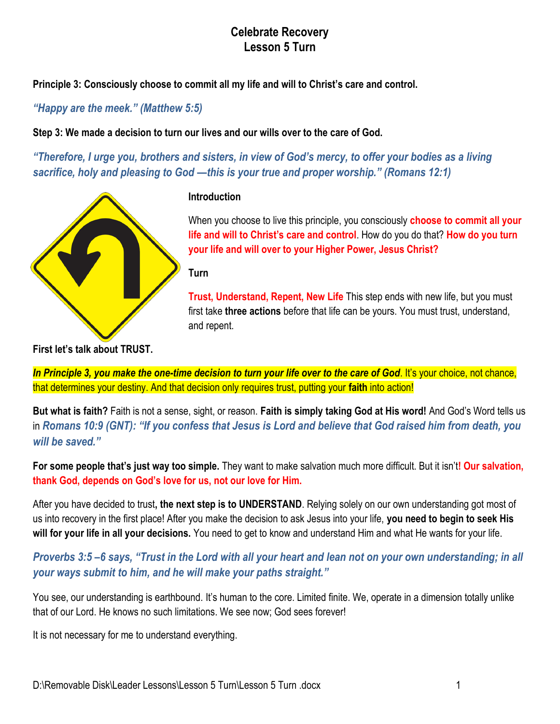**Principle 3: Consciously choose to commit all my life and will to Christ's care and control.** 

*"Happy are the meek." (Matthew 5:5)* 

**Step 3: We made a decision to turn our lives and our wills over to the care of God.** 

*"Therefore, I urge you, brothers and sisters, in view of God's mercy, to offer your bodies as a living sacrifice, holy and pleasing to God —this is your true and proper worship." (Romans 12:1)* 



#### **Introduction**

When you choose to live this principle, you consciously **choose to commit all your life and will to Christ's care and control**. How do you do that? **How do you turn your life and will over to your Higher Power, Jesus Christ?** 

**Turn** 

**Trust, Understand, Repent, New Life** This step ends with new life, but you must first take **three actions** before that life can be yours. You must trust, understand, and repent.

**First let's talk about TRUST.** 

*In Principle 3, you make the one-time decision to turn your life over to the care of God*. It's your choice, not chance, that determines your destiny. And that decision only requires trust, putting your **faith** into action!

**But what is faith?** Faith is not a sense, sight, or reason. **Faith is simply taking God at His word!** And God's Word tells us in *Romans 10:9 (GNT): "If you confess that Jesus is Lord and believe that God raised him from death, you will be saved."*

**For some people that's just way too simple.** They want to make salvation much more difficult. But it isn't**! Our salvation, thank God, depends on God's love for us, not our love for Him.** 

After you have decided to trust**, the next step is to UNDERSTAND**. Relying solely on our own understanding got most of us into recovery in the first place! After you make the decision to ask Jesus into your life, **you need to begin to seek His will for your life in all your decisions.** You need to get to know and understand Him and what He wants for your life.

*Proverbs 3:5 –6 says, "Trust in the Lord with all your heart and lean not on your own understanding; in all your ways submit to him, and he will make your paths straight."* 

You see, our understanding is earthbound. It's human to the core. Limited finite. We, operate in a dimension totally unlike that of our Lord. He knows no such limitations. We see now; God sees forever!

It is not necessary for me to understand everything.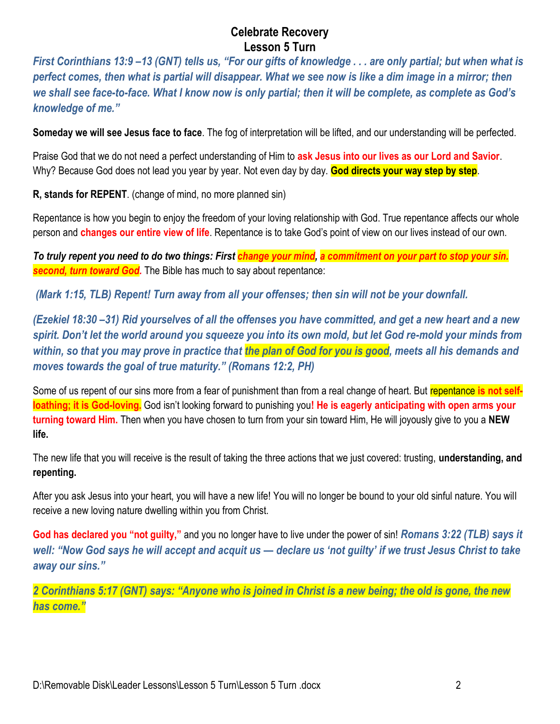*First Corinthians 13:9 –13 (GNT) tells us, "For our gifts of knowledge . . . are only partial; but when what is perfect comes, then what is partial will disappear. What we see now is like a dim image in a mirror; then we shall see face-to-face. What I know now is only partial; then it will be complete, as complete as God's knowledge of me."* 

**Someday we will see Jesus face to face**. The fog of interpretation will be lifted, and our understanding will be perfected.

Praise God that we do not need a perfect understanding of Him to **ask Jesus into our lives as our Lord and Savior**. Why? Because God does not lead you year by year. Not even day by day. **God directs your way step by step**.

**R, stands for REPENT**. (change of mind, no more planned sin)

Repentance is how you begin to enjoy the freedom of your loving relationship with God. True repentance affects our whole person and **changes our entire view of life**. Repentance is to take God's point of view on our lives instead of our own.

*To truly repent you need to do two things: First change your mind, a commitment on your part to stop your sin. second, turn toward God.* The Bible has much to say about repentance:

*(Mark 1:15, TLB) Repent! Turn away from all your offenses; then sin will not be your downfall.* 

*(Ezekiel 18:30 –31) Rid yourselves of all the offenses you have committed, and get a new heart and a new spirit. Don't let the world around you squeeze you into its own mold, but let God re-mold your minds from within, so that you may prove in practice that the plan of God for you is good, meets all his demands and moves towards the goal of true maturity." (Romans 12:2, PH)* 

Some of us repent of our sins more from a fear of punishment than from a real change of heart. But repentance is not self**loathing; it is God-loving.** God isn't looking forward to punishing you**! He is eagerly anticipating with open arms your turning toward Him.** Then when you have chosen to turn from your sin toward Him, He will joyously give to you a **NEW life.**

The new life that you will receive is the result of taking the three actions that we just covered: trusting, **understanding, and repenting.** 

After you ask Jesus into your heart, you will have a new life! You will no longer be bound to your old sinful nature. You will receive a new loving nature dwelling within you from Christ.

**God has declared you "not guilty,"** and you no longer have to live under the power of sin! *Romans 3:22 (TLB) says it well: "Now God says he will accept and acquit us — declare us 'not guilty' if we trust Jesus Christ to take away our sins."* 

*2 Corinthians 5:17 (GNT) says: "Anyone who is joined in Christ is a new being; the old is gone, the new has come."*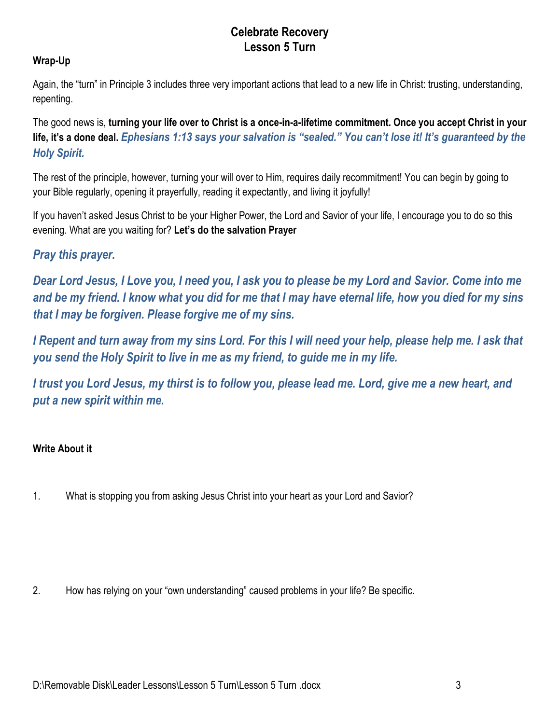### **Wrap-Up**

Again, the "turn" in Principle 3 includes three very important actions that lead to a new life in Christ: trusting, understanding, repenting.

The good news is, **turning your life over to Christ is a once-in-a-lifetime commitment. Once you accept Christ in your life, it's a done deal.** *Ephesians 1:13 says your salvation is "sealed." You can't lose it! It's guaranteed by the Holy Spirit.* 

The rest of the principle, however, turning your will over to Him, requires daily recommitment! You can begin by going to your Bible regularly, opening it prayerfully, reading it expectantly, and living it joyfully!

If you haven't asked Jesus Christ to be your Higher Power, the Lord and Savior of your life, I encourage you to do so this evening. What are you waiting for? **Let's do the salvation Prayer**

### *Pray this prayer.*

*Dear Lord Jesus, I Love you, I need you, I ask you to please be my Lord and Savior. Come into me and be my friend. I know what you did for me that I may have eternal life, how you died for my sins that I may be forgiven. Please forgive me of my sins.*

*I Repent and turn away from my sins Lord. For this I will need your help, please help me. I ask that you send the Holy Spirit to live in me as my friend, to guide me in my life.*

*I trust you Lord Jesus, my thirst is to follow you, please lead me. Lord, give me a new heart, and put a new spirit within me.*

### **Write About it**

1. What is stopping you from asking Jesus Christ into your heart as your Lord and Savior?

2. How has relying on your "own understanding" caused problems in your life? Be specific.